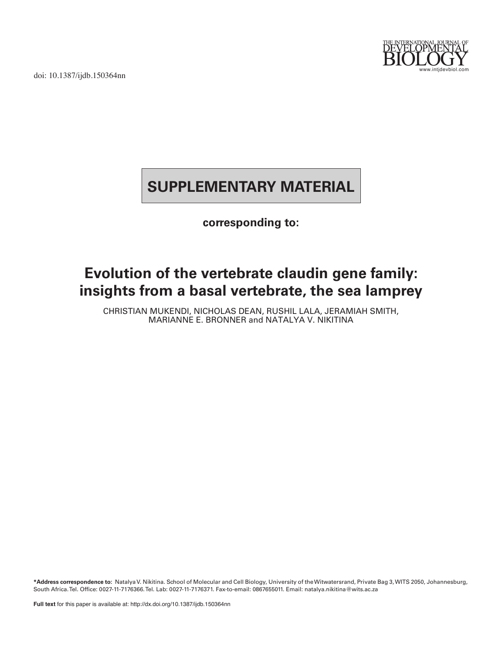doi: 10.1387/ijdb.150364nn



# **SUPPLEMENTARY MATERIAL**

### **corresponding to:**

## **Evolution of the vertebrate claudin gene family: insights from a basal vertebrate, the sea lamprey**

CHRISTIAN MUKENDI, NICHOLAS DEAN, RUSHIL LALA, JERAMIAH SMITH, MARIANNE E. BRONNER and NATALYA V. NIKITINA

**\*Address correspondence to:** Natalya V. Nikitina. School of Molecular and Cell Biology, University of the Witwatersrand, Private Bag 3, WITS 2050, Johannesburg, South Africa. Tel. Office: 0027-11-7176366. Tel. Lab: 0027-11-7176371. Fax-to-email: 0867655011. Email: natalya.nikitina@wits.ac.za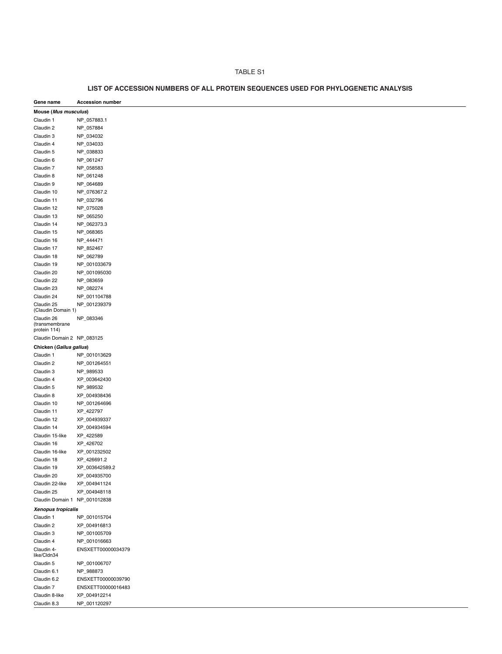#### TABLE S1

| Gene name                                    | <b>Accession number</b> |  |
|----------------------------------------------|-------------------------|--|
| Mouse (Mus musculus)                         |                         |  |
| Claudin 1                                    | NP_057883.1             |  |
| Claudin 2                                    | NP_057884               |  |
| Claudin 3                                    | NP_034032               |  |
| Claudin 4                                    | NP_034033               |  |
| Claudin 5                                    | NP_038833               |  |
| Claudin 6                                    | NP_061247               |  |
| Claudin 7                                    | NP_058583               |  |
| Claudin 8                                    | NP_061248               |  |
|                                              |                         |  |
| Claudin 9                                    | NP_064689               |  |
| Claudin 10                                   | NP_076367.2             |  |
| Claudin 11                                   | NP_032796               |  |
| Claudin 12                                   | NP_075028               |  |
| Claudin 13                                   | NP_065250               |  |
| Claudin 14                                   | NP_062373.3             |  |
| Claudin 15                                   | NP_068365               |  |
| Claudin 16                                   | NP_444471               |  |
| Claudin 17                                   | NP_852467               |  |
| Claudin 18                                   | NP_062789               |  |
| Claudin 19                                   | NP_001033679            |  |
| Claudin 20                                   | NP_001095030            |  |
| Claudin 22                                   | NP_083659               |  |
| Claudin 23                                   | NP_082274               |  |
| Claudin 24                                   | NP_001104788            |  |
| Claudin 25<br>(Claudin Domain 1)             | NP_001239379            |  |
| Claudin 26<br>(transmembrane<br>protein 114) | NP_083346               |  |
| Claudin Domain 2 NP_083125                   |                         |  |
| Chicken (Gallus gallus)                      |                         |  |
| Claudin 1                                    | NP_001013629            |  |
| Claudin 2                                    | NP_001264551            |  |
| Claudin 3                                    | NP_989533               |  |
|                                              |                         |  |
| Claudin 4                                    | XP_003642430            |  |
| Claudin 5                                    | NP_989532               |  |
| Claudin 8                                    | XP_004938436            |  |
| Claudin 10                                   | NP_001264696            |  |
| Claudin 11                                   | XP_422797               |  |
| Claudin 12                                   | XP_004939337            |  |
| Claudin 14                                   | XP_004934594            |  |
| Claudin 15-like                              | XP_422589               |  |
| Claudin 16                                   | XP_426702               |  |
| Claudin 16-like                              | XP_001232502            |  |
| Claudin 18                                   | XP_426691.2             |  |
| Claudin 19                                   | XP_003642589.2          |  |
| Claudin 20                                   | XP_004935700            |  |
| Claudin 22-like                              | XP_004941124            |  |
| Claudin 25                                   | XP_004948118            |  |
| Claudin Domain 1 NP_001012838                |                         |  |
| Xenopus tropicalis                           |                         |  |
| Claudin 1                                    | NP_001015704            |  |
| Claudin 2                                    | XP_004916813            |  |
| Claudin 3                                    | NP_001005709            |  |
| Claudin 4                                    | NP_001016663            |  |
| Claudin 4-                                   | ENSXETT00000034379      |  |
| like/Cldn34                                  |                         |  |
| Claudin 5                                    | NP_001006707            |  |
| Claudin 6.1                                  | NP_988873               |  |
| Claudin 6.2                                  | ENSXETT00000039790      |  |
| Claudin 7                                    | ENSXETT00000016483      |  |
| Claudin 8-like                               | XP_004912214            |  |
| Claudin 8.3                                  | NP_001120297            |  |

### **LIST OF ACCESSION NUMBERS OF ALL PROTEIN SEQUENCES USED FOR PHYLOGENETIC ANALYSIS**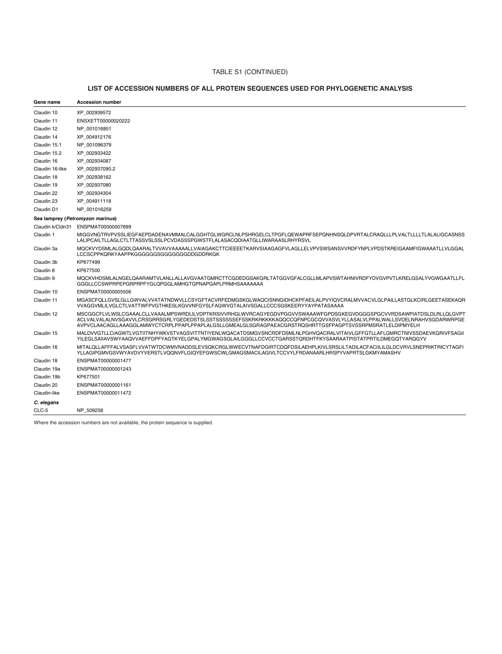#### TABLE S1 (CONTINUED)

#### **LIST OF ACCESSION NUMBERS OF ALL PROTEIN SEQUENCES USED FOR PHYLOGENETIC ANALYSIS CLIST OF ACCI**

| Gene name        | <b>Accession number</b>                                                                                                                                                                                                                                                                                                                                |  |
|------------------|--------------------------------------------------------------------------------------------------------------------------------------------------------------------------------------------------------------------------------------------------------------------------------------------------------------------------------------------------------|--|
| Claudin 10       | XP 002939572                                                                                                                                                                                                                                                                                                                                           |  |
| Claudin 11       | ENSXETT00000020222                                                                                                                                                                                                                                                                                                                                     |  |
| Claudin 12       | NP 001016851                                                                                                                                                                                                                                                                                                                                           |  |
| Claudin 14       | XP_004912176                                                                                                                                                                                                                                                                                                                                           |  |
| Claudin 15.1     | NP 001096379                                                                                                                                                                                                                                                                                                                                           |  |
| Claudin 15.2     | XP 002933422                                                                                                                                                                                                                                                                                                                                           |  |
| Claudin 16       | XP 002934087                                                                                                                                                                                                                                                                                                                                           |  |
| Claudin 16-like  | XP 002937090.2                                                                                                                                                                                                                                                                                                                                         |  |
| Claudin 18       | XP 002938162                                                                                                                                                                                                                                                                                                                                           |  |
| Claudin 19       | XP 002937080                                                                                                                                                                                                                                                                                                                                           |  |
| Claudin 22       | XP 002934304                                                                                                                                                                                                                                                                                                                                           |  |
| Claudin 23       | XP 004911118                                                                                                                                                                                                                                                                                                                                           |  |
| Claudin D1       | NP 001016259                                                                                                                                                                                                                                                                                                                                           |  |
|                  | Sea lamprey (Petromyzon marinus)                                                                                                                                                                                                                                                                                                                       |  |
| Claudin k/Cldn31 | ENSPMAT00000007899                                                                                                                                                                                                                                                                                                                                     |  |
| Claudin 1        | MIGGVNGTRVPVSSLIEGFAEPDADENAVMMALCALGGHTGLWGRCLNLPSHRGELCLTPGFLQEWAPRFSEPGNHNSQLDPVRTALCRAQLLLPLVALTLLLLTLALALIGCASNSS<br>LALIPCAILTLLAGLCTLTTASSVSLSSLPCVDASSSPGWSTFLALASACQDIAATGLLIWARAASLRHYRSVL                                                                                                                                                   |  |
| Claudin 3a       | MQCKVYDSMLALGQDLQAARALTVVAVVAAAAALLVAIAGAKCTTCIEEEETKARVSIAAGAGFVLAGLLELVPVSWSANSVVRDFYNPLVPDSTKREIGAAMFIGWAAATLLVLGGAL<br>LCCSCPPKQRKYAAPPKGGGGGGGGGGGGGGDDGDDRKGK                                                                                                                                                                                    |  |
| Claudin 3b       | KP677499                                                                                                                                                                                                                                                                                                                                               |  |
| Claudin 8        | KP677500                                                                                                                                                                                                                                                                                                                                               |  |
| Claudin 9        | MQCKVHDSMLALNGELQAARAMTVLANLLALLAVGVAATGMRCTTCGDEDGSAKGRLTATGGVGFALCGLLMLAPVSWTAHNIVRDFYDVGVPVTLKRELGSALYVGWGAATLLFL<br>GGGLLCCSWPRPEPGRPRPFYGLQPGGLAMHGTGPNAPGAPLPRMHSAAAAAAA                                                                                                                                                                         |  |
| Claudin 10       | ENSPMAT00000005506                                                                                                                                                                                                                                                                                                                                     |  |
| Claudin 11       | MGASCFQLLGVSLGLLGWVALVVATATNDWVLLCSYGFTACVRFEDMGSKGLWAQCISNNGIDHCKPFAEILALPVYIQVCRALMVVACVLGLPAILLASTGLKCIRLGEETASEKAQR<br>VVAGGVMLILVGLCTLVATTWFPVGTHKESLKGVVNFGYSLFAGWVGTALAIVSGALLCCCSGSKEERYYAYPATASAAAA                                                                                                                                           |  |
| Claudin 12       | MSCGGCFLVLWSLCGAAALCLLVAAALMPSWRDLILVDPTKRSIVVRHGLWVRCAGYEGDVPGGVVSWAAAWFGPDSGKEGVDGGGSPGCVVRDSAWPIATDSLDLRLLQLGVPT<br>ACLVALVALALNVSGAVVLCRSGRRSGRLYGEDEDSTSLSSTSSSSSSEFSSKRKRKKKKAQQCCQFNPCGCQVVASVLYLLASALVLPPALWALLSVDELNRAHVSGDARWRPGE<br>AVPVCLAACAGLLAAAGGLAMWYCTCRPLPPAPLPPAPLALGSLLGMEALGLSGRAGPAEACGRSTRQSHRTTGSFPAGPTSVSSRPMSRATLELDIPMYELH |  |
| Claudin 15       | MALDVVGTLLCIAGWTLVGTIITNHYWKVSTVAGSVITTNTIYENLWQACATDSMGVSNCRDFDSMLNLPGHVQACRALVITAIVLGFFGTLLAFLGMRCTNIVSSDAEVKGRIVFSAGII<br>YILEGLSAIIAVSWYAAQVVAEFFDPFYAGTKYELGPALYMGWAGSGLAILGGGLLCCVCCTGARSSTQRDHTFKYSAARAATPISTATPRTILDMEGQTYARQGYV                                                                                                               |  |
| Claudin 16       | MITALQLLAFFFALVSASFLVVATWTDCWMVNADDSLEVSQKCRGLWWECVTNAFDGIRTCDQFDSILAEHPLKIVLSRSLILTADILACFACIILILGLDCVRVLSNEPRIKTRICYTAGFI<br>YLLAGIPGMVGSVWYAVDVYVERSTLVQQNVFLGIQYEFGWSCWLGMAGSMACILAGIVLTCCVYLFRDANAARLHRSPYVAPRTSLGKMYAMASHV                                                                                                                       |  |
| Claudin 18       | ENSPMAT00000001477                                                                                                                                                                                                                                                                                                                                     |  |
| Claudin 19a      | ENSPMAT00000001243                                                                                                                                                                                                                                                                                                                                     |  |
| Claudin 19b      | KP677501                                                                                                                                                                                                                                                                                                                                               |  |
| Claudin 20       | ENSPMAT00000001161                                                                                                                                                                                                                                                                                                                                     |  |
| Claudin-like     | ENSPMAT00000011472                                                                                                                                                                                                                                                                                                                                     |  |
| C. elegans       |                                                                                                                                                                                                                                                                                                                                                        |  |
| CLC-5            | NP_509258                                                                                                                                                                                                                                                                                                                                              |  |

Where the accession numbers are not available, the protein sequence is supplied.